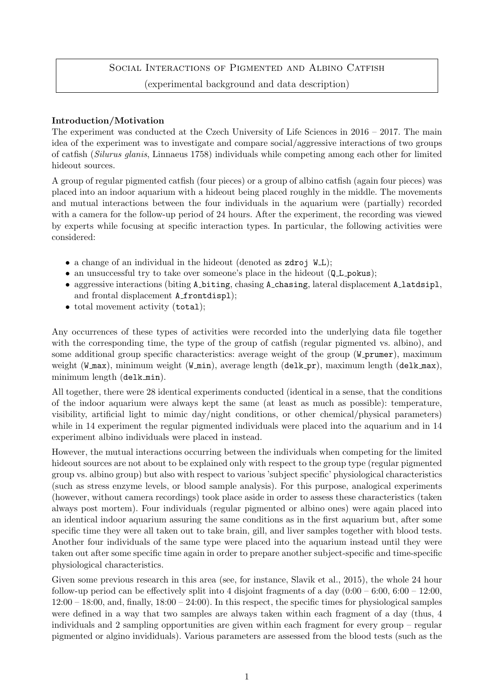# SOCIAL INTERACTIONS OF PIGMENTED AND ALBINO CATFISH (experimental background and data description)

# Introduction/Motivation

The experiment was conducted at the Czech University of Life Sciences in 2016 – 2017. The main idea of the experiment was to investigate and compare social/aggressive interactions of two groups of catfish (Silurus glanis, Linnaeus 1758) individuals while competing among each other for limited hideout sources.

A group of regular pigmented catfish (four pieces) or a group of albino catfish (again four pieces) was placed into an indoor aquarium with a hideout being placed roughly in the middle. The movements and mutual interactions between the four individuals in the aquarium were (partially) recorded with a camera for the follow-up period of 24 hours. After the experiment, the recording was viewed by experts while focusing at specific interaction types. In particular, the following activities were considered:

- a change of an individual in the hideout (denoted as  $zdr$  i  $W<sub>L</sub>$ );
- an unsuccessful try to take over someone's place in the hideout (Q.L. pokus);
- aggressive interactions (biting A biting, chasing A chasing, lateral displacement A latdsipl, and frontal displacement A\_frontdispl);
- total movement activity (total);

Any occurrences of these types of activities were recorded into the underlying data file together with the corresponding time, the type of the group of catfish (regular pigmented vs. albino), and some additional group specific characteristics: average weight of the group (W\_prumer), maximum weight (W\_max), minimum weight (W\_min), average length (delk\_pr), maximum length (delk\_max), minimum length (delk min).

All together, there were 28 identical experiments conducted (identical in a sense, that the conditions of the indoor aquarium were always kept the same (at least as much as possible): temperature, visibility, artificial light to mimic day/night conditions, or other chemical/physical parameters) while in 14 experiment the regular pigmented individuals were placed into the aquarium and in 14 experiment albino individuals were placed in instead.

However, the mutual interactions occurring between the individuals when competing for the limited hideout sources are not about to be explained only with respect to the group type (regular pigmented group vs. albino group) but also with respect to various 'subject specific' physiological characteristics (such as stress enzyme levels, or blood sample analysis). For this purpose, analogical experiments (however, without camera recordings) took place aside in order to assess these characteristics (taken always post mortem). Four individuals (regular pigmented or albino ones) were again placed into an identical indoor aquarium assuring the same conditions as in the first aquarium but, after some specific time they were all taken out to take brain, gill, and liver samples together with blood tests. Another four individuals of the same type were placed into the aquarium instead until they were taken out after some specific time again in order to prepare another subject-specific and time-specific physiological characteristics.

Given some previous research in this area (see, for instance, Slavik et al., 2015), the whole 24 hour follow-up period can be effectively split into 4 disjoint fragments of a day  $(0.00 - 6.00, 6.00 - 12.00,$  $12:00 - 18:00$ , and, finally,  $18:00 - 24:00$ ). In this respect, the specific times for physiological samples were defined in a way that two samples are always taken within each fragment of a day (thus, 4 individuals and 2 sampling opportunities are given within each fragment for every group – regular pigmented or algino invididuals). Various parameters are assessed from the blood tests (such as the